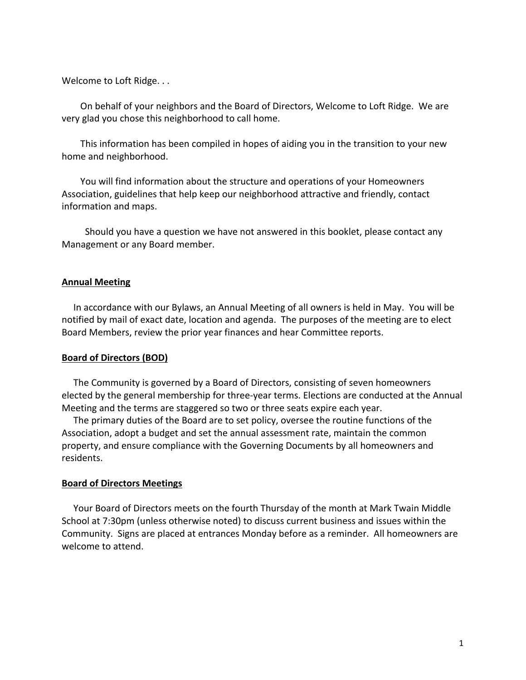Welcome to Loft Ridge. . .

On behalf of your neighbors and the Board of Directors, Welcome to Loft Ridge. We are very glad you chose this neighborhood to call home.

This information has been compiled in hopes of aiding you in the transition to your new home and neighborhood.

You will find information about the structure and operations of your Homeowners Association, guidelines that help keep our neighborhood attractive and friendly, contact information and maps.

Should you have a question we have not answered in this booklet, please contact any Management or any Board member.

### **Annual Meeting**

In accordance with our Bylaws, an Annual Meeting of all owners is held in May. You will be notified by mail of exact date, location and agenda. The purposes of the meeting are to elect Board Members, review the prior year finances and hear Committee reports.

# **Board of Directors (BOD)**

The Community is governed by a Board of Directors, consisting of seven homeowners elected by the general membership for three-year terms. Elections are conducted at the Annual Meeting and the terms are staggered so two or three seats expire each year.

The primary duties of the Board are to set policy, oversee the routine functions of the Association, adopt a budget and set the annual assessment rate, maintain the common property, and ensure compliance with the Governing Documents by all homeowners and residents.

### **Board of Directors Meetings**

Your Board of Directors meets on the fourth Thursday of the month at Mark Twain Middle School at 7:30pm (unless otherwise noted) to discuss current business and issues within the Community. Signs are placed at entrances Monday before as a reminder. All homeowners are welcome to attend.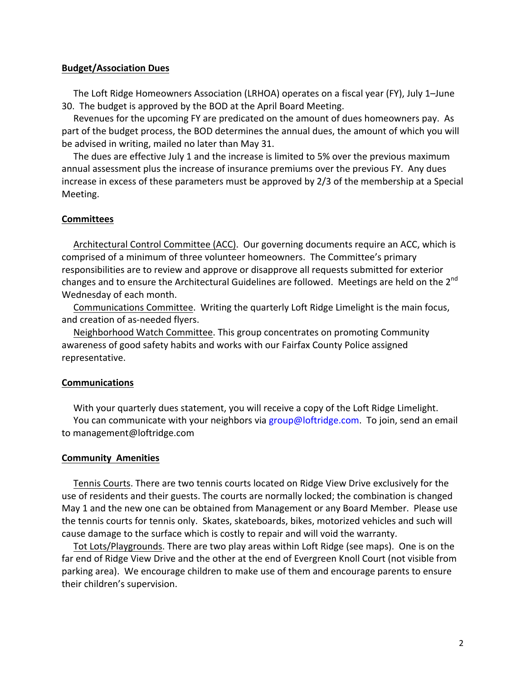### **Budget/Association Dues**

The Loft Ridge Homeowners Association (LRHOA) operates on a fiscal year (FY), July 1–June 30. The budget is approved by the BOD at the April Board Meeting.

Revenues for the upcoming FY are predicated on the amount of dues homeowners pay. As part of the budget process, the BOD determines the annual dues, the amount of which you will be advised in writing, mailed no later than May 31.

The dues are effective July 1 and the increase is limited to 5% over the previous maximum annual assessment plus the increase of insurance premiums over the previous FY. Any dues increase in excess of these parameters must be approved by  $2/3$  of the membership at a Special Meeting.

# **Committees**

Architectural Control Committee (ACC). Our governing documents require an ACC, which is comprised of a minimum of three volunteer homeowners. The Committee's primary responsibilities are to review and approve or disapprove all requests submitted for exterior changes and to ensure the Architectural Guidelines are followed. Meetings are held on the 2<sup>nd</sup> Wednesday of each month.

Communications Committee. Writing the quarterly Loft Ridge Limelight is the main focus, and creation of as-needed flyers.

Neighborhood Watch Committee. This group concentrates on promoting Community awareness of good safety habits and works with our Fairfax County Police assigned representative.

# **Communications**

With your quarterly dues statement, you will receive a copy of the Loft Ridge Limelight. You can communicate with your neighbors via group@loftridge.com. To join, send an email to management@loftridge.com

# **Community Amenities**

Tennis Courts. There are two tennis courts located on Ridge View Drive exclusively for the use of residents and their guests. The courts are normally locked; the combination is changed May 1 and the new one can be obtained from Management or any Board Member. Please use the tennis courts for tennis only. Skates, skateboards, bikes, motorized vehicles and such will cause damage to the surface which is costly to repair and will void the warranty.

Tot Lots/Playgrounds. There are two play areas within Loft Ridge (see maps). One is on the far end of Ridge View Drive and the other at the end of Evergreen Knoll Court (not visible from parking area). We encourage children to make use of them and encourage parents to ensure their children's supervision.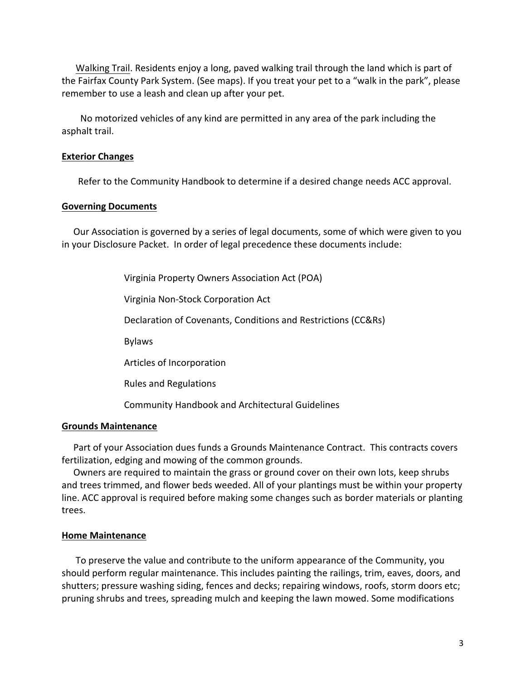Walking Trail. Residents enjoy a long, paved walking trail through the land which is part of the Fairfax County Park System. (See maps). If you treat your pet to a "walk in the park", please remember to use a leash and clean up after your pet.

No motorized vehicles of any kind are permitted in any area of the park including the asphalt trail.

# **Exterior Changes**

Refer to the Community Handbook to determine if a desired change needs ACC approval.

# **Governing Documents**

Our Association is governed by a series of legal documents, some of which were given to you in your Disclosure Packet. In order of legal precedence these documents include:

Virginia Property Owners Association Act (POA)

 Virginia Non-Stock Corporation Act 

Declaration of Covenants, Conditions and Restrictions (CC&Rs)

 Bylaws 

Articles of Incorporation

 Rules and Regulations 

 Community Handbook and Architectural Guidelines

# **Grounds Maintenance**

Part of your Association dues funds a Grounds Maintenance Contract. This contracts covers fertilization, edging and mowing of the common grounds.

Owners are required to maintain the grass or ground cover on their own lots, keep shrubs and trees trimmed, and flower beds weeded. All of your plantings must be within your property line. ACC approval is required before making some changes such as border materials or planting trees.

# **Home Maintenance**

To preserve the value and contribute to the uniform appearance of the Community, you should perform regular maintenance. This includes painting the railings, trim, eaves, doors, and shutters; pressure washing siding, fences and decks; repairing windows, roofs, storm doors etc; pruning shrubs and trees, spreading mulch and keeping the lawn mowed. Some modifications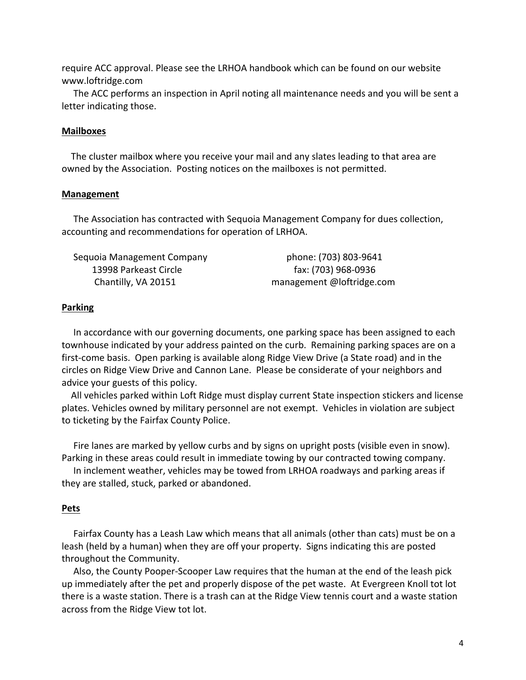require ACC approval. Please see the LRHOA handbook which can be found on our website www.loftridge.com

The ACC performs an inspection in April noting all maintenance needs and you will be sent a letter indicating those.

#### **Mailboxes**

The cluster mailbox where you receive your mail and any slates leading to that area are owned by the Association. Posting notices on the mailboxes is not permitted.

#### **Management**

The Association has contracted with Sequoia Management Company for dues collection, accounting and recommendations for operation of LRHOA.

| Sequoia Management Company | phone: (703) 803-9641     |
|----------------------------|---------------------------|
| 13998 Parkeast Circle      | fax: (703) 968-0936       |
| Chantilly, VA 20151        | management @loftridge.com |

### **Parking**

In accordance with our governing documents, one parking space has been assigned to each townhouse indicated by your address painted on the curb. Remaining parking spaces are on a first-come basis. Open parking is available along Ridge View Drive (a State road) and in the circles on Ridge View Drive and Cannon Lane. Please be considerate of your neighbors and advice your guests of this policy.

All vehicles parked within Loft Ridge must display current State inspection stickers and license plates. Vehicles owned by military personnel are not exempt. Vehicles in violation are subject to ticketing by the Fairfax County Police.

Fire lanes are marked by yellow curbs and by signs on upright posts (visible even in snow). Parking in these areas could result in immediate towing by our contracted towing company.

In inclement weather, vehicles may be towed from LRHOA roadways and parking areas if they are stalled, stuck, parked or abandoned.

#### **Pets**

Fairfax County has a Leash Law which means that all animals (other than cats) must be on a leash (held by a human) when they are off your property. Signs indicating this are posted throughout the Community.

Also, the County Pooper-Scooper Law requires that the human at the end of the leash pick up immediately after the pet and properly dispose of the pet waste. At Evergreen Knoll tot lot there is a waste station. There is a trash can at the Ridge View tennis court and a waste station across from the Ridge View tot lot.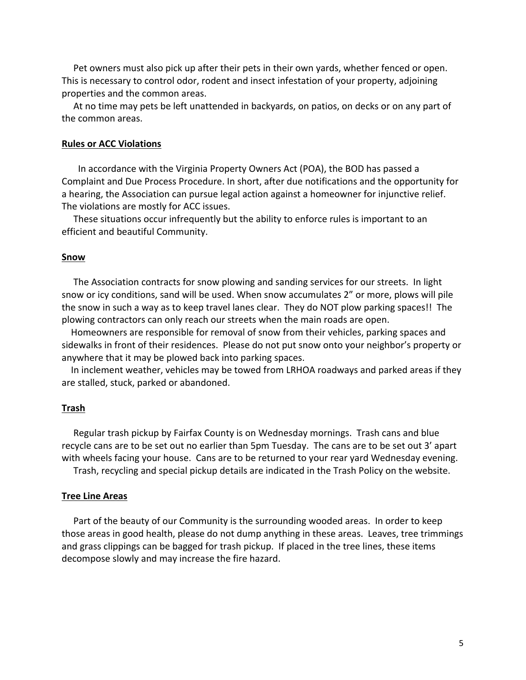Pet owners must also pick up after their pets in their own yards, whether fenced or open. This is necessary to control odor, rodent and insect infestation of your property, adjoining properties and the common areas.

At no time may pets be left unattended in backyards, on patios, on decks or on any part of the common areas.

#### **Rules or ACC Violations**

In accordance with the Virginia Property Owners Act (POA), the BOD has passed a Complaint and Due Process Procedure. In short, after due notifications and the opportunity for a hearing, the Association can pursue legal action against a homeowner for injunctive relief. The violations are mostly for ACC issues.

These situations occur infrequently but the ability to enforce rules is important to an efficient and beautiful Community.

#### **Snow**

The Association contracts for snow plowing and sanding services for our streets. In light snow or icy conditions, sand will be used. When snow accumulates 2" or more, plows will pile the snow in such a way as to keep travel lanes clear. They do NOT plow parking spaces!! The plowing contractors can only reach our streets when the main roads are open.

Homeowners are responsible for removal of snow from their vehicles, parking spaces and sidewalks in front of their residences. Please do not put snow onto your neighbor's property or anywhere that it may be plowed back into parking spaces.

In inclement weather, vehicles may be towed from LRHOA roadways and parked areas if they are stalled, stuck, parked or abandoned.

#### **Trash**

Regular trash pickup by Fairfax County is on Wednesday mornings. Trash cans and blue recycle cans are to be set out no earlier than 5pm Tuesday. The cans are to be set out 3' apart with wheels facing your house. Cans are to be returned to your rear yard Wednesday evening.

Trash, recycling and special pickup details are indicated in the Trash Policy on the website.

### **Tree Line Areas**

Part of the beauty of our Community is the surrounding wooded areas. In order to keep those areas in good health, please do not dump anything in these areas. Leaves, tree trimmings and grass clippings can be bagged for trash pickup. If placed in the tree lines, these items decompose slowly and may increase the fire hazard.